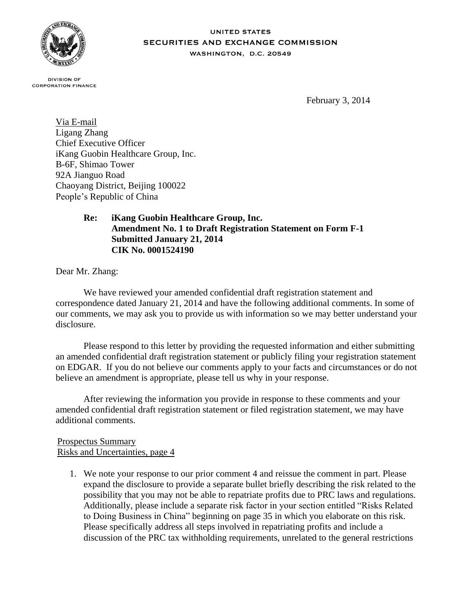

#### **UNITED STATES SECURITIES AND EXCHANGE COMMISSION** WASHINGTON, D.C. 20549

**DIVISION OF CORPORATION FINANCE** 

February 3, 2014

Via E-mail Ligang Zhang Chief Executive Officer iKang Guobin Healthcare Group, Inc. B-6F, Shimao Tower 92A Jianguo Road Chaoyang District, Beijing 100022 People's Republic of China

# **Re: iKang Guobin Healthcare Group, Inc. Amendment No. 1 to Draft Registration Statement on Form F-1 Submitted January 21, 2014 CIK No. 0001524190**

Dear Mr. Zhang:

We have reviewed your amended confidential draft registration statement and correspondence dated January 21, 2014 and have the following additional comments. In some of our comments, we may ask you to provide us with information so we may better understand your disclosure.

Please respond to this letter by providing the requested information and either submitting an amended confidential draft registration statement or publicly filing your registration statement on EDGAR. If you do not believe our comments apply to your facts and circumstances or do not believe an amendment is appropriate, please tell us why in your response.

After reviewing the information you provide in response to these comments and your amended confidential draft registration statement or filed registration statement, we may have additional comments.

### Prospectus Summary Risks and Uncertainties, page 4

1. We note your response to our prior comment 4 and reissue the comment in part. Please expand the disclosure to provide a separate bullet briefly describing the risk related to the possibility that you may not be able to repatriate profits due to PRC laws and regulations. Additionally, please include a separate risk factor in your section entitled "Risks Related to Doing Business in China" beginning on page 35 in which you elaborate on this risk. Please specifically address all steps involved in repatriating profits and include a discussion of the PRC tax withholding requirements, unrelated to the general restrictions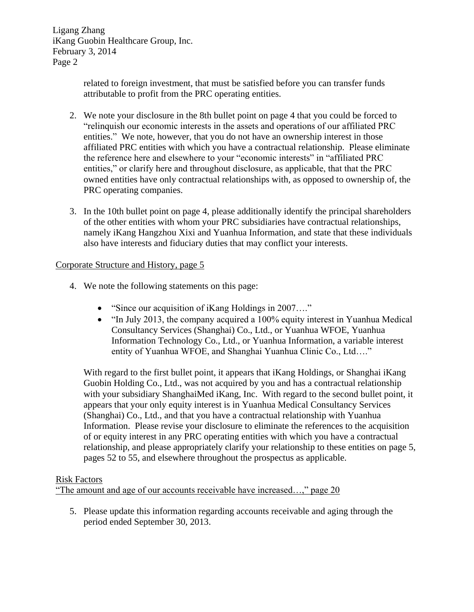Ligang Zhang iKang Guobin Healthcare Group, Inc. February 3, 2014 Page 2

> related to foreign investment, that must be satisfied before you can transfer funds attributable to profit from the PRC operating entities.

- 2. We note your disclosure in the 8th bullet point on page 4 that you could be forced to "relinquish our economic interests in the assets and operations of our affiliated PRC entities." We note, however, that you do not have an ownership interest in those affiliated PRC entities with which you have a contractual relationship. Please eliminate the reference here and elsewhere to your "economic interests" in "affiliated PRC entities," or clarify here and throughout disclosure, as applicable, that that the PRC owned entities have only contractual relationships with, as opposed to ownership of, the PRC operating companies.
- 3. In the 10th bullet point on page 4, please additionally identify the principal shareholders of the other entities with whom your PRC subsidiaries have contractual relationships, namely iKang Hangzhou Xixi and Yuanhua Information, and state that these individuals also have interests and fiduciary duties that may conflict your interests.

### Corporate Structure and History, page 5

- 4. We note the following statements on this page:
	- "Since our acquisition of iKang Holdings in 2007...."
	- "In July 2013, the company acquired a 100% equity interest in Yuanhua Medical Consultancy Services (Shanghai) Co., Ltd., or Yuanhua WFOE, Yuanhua Information Technology Co., Ltd., or Yuanhua Information, a variable interest entity of Yuanhua WFOE, and Shanghai Yuanhua Clinic Co., Ltd…."

With regard to the first bullet point, it appears that iKang Holdings, or Shanghai iKang Guobin Holding Co., Ltd., was not acquired by you and has a contractual relationship with your subsidiary ShanghaiMed iKang, Inc. With regard to the second bullet point, it appears that your only equity interest is in Yuanhua Medical Consultancy Services (Shanghai) Co., Ltd., and that you have a contractual relationship with Yuanhua Information. Please revise your disclosure to eliminate the references to the acquisition of or equity interest in any PRC operating entities with which you have a contractual relationship, and please appropriately clarify your relationship to these entities on page 5, pages 52 to 55, and elsewhere throughout the prospectus as applicable.

## Risk Factors

"The amount and age of our accounts receivable have increased…," page 20

5. Please update this information regarding accounts receivable and aging through the period ended September 30, 2013.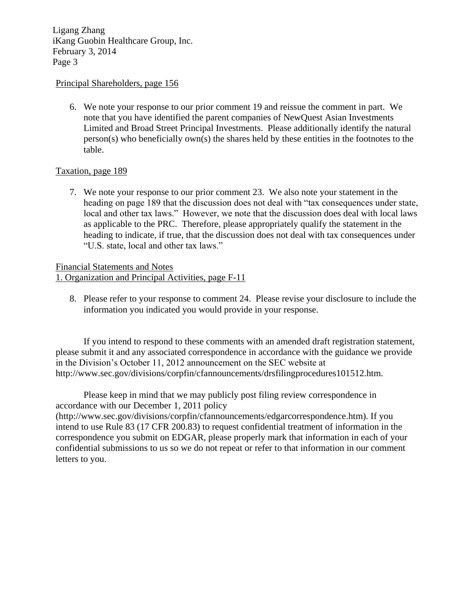Ligang Zhang iKang Guobin Healthcare Group, Inc. February 3, 2014 Page 3

#### Principal Shareholders, page 156

6. We note your response to our prior comment 19 and reissue the comment in part. We note that you have identified the parent companies of NewQuest Asian Investments Limited and Broad Street Principal Investments. Please additionally identify the natural person(s) who beneficially own(s) the shares held by these entities in the footnotes to the table.

#### Taxation, page 189

7. We note your response to our prior comment 23. We also note your statement in the heading on page 189 that the discussion does not deal with "tax consequences under state, local and other tax laws." However, we note that the discussion does deal with local laws as applicable to the PRC. Therefore, please appropriately qualify the statement in the heading to indicate, if true, that the discussion does not deal with tax consequences under "U.S. state, local and other tax laws."

Financial Statements and Notes 1. Organization and Principal Activities, page F-11

8. Please refer to your response to comment 24. Please revise your disclosure to include the information you indicated you would provide in your response.

If you intend to respond to these comments with an amended draft registration statement, please submit it and any associated correspondence in accordance with the guidance we provide in the Division's October 11, 2012 announcement on the SEC website at http://www.sec.gov/divisions/corpfin/cfannouncements/drsfilingprocedures101512.htm.

Please keep in mind that we may publicly post filing review correspondence in accordance with our December 1, 2011 policy (http://www.sec.gov/divisions/corpfin/cfannouncements/edgarcorrespondence.htm). If you

intend to use Rule 83 (17 CFR 200.83) to request confidential treatment of information in the correspondence you submit on EDGAR, please properly mark that information in each of your confidential submissions to us so we do not repeat or refer to that information in our comment letters to you.